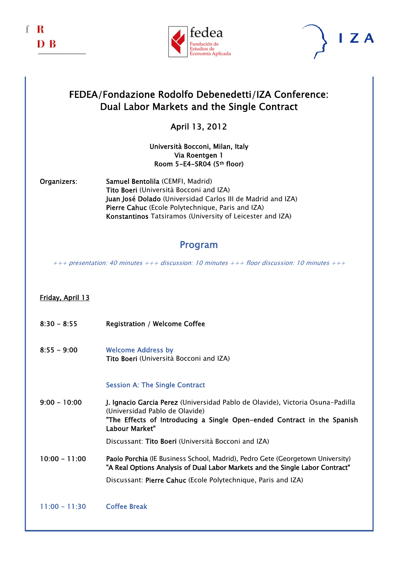





## FEDEA/Fondazione Rodolfo Debenedetti/IZA Conference: Dual Labor Markets and the Single Contract

## April 13, 2012

#### Università Bocconi, Milan, Italy Via Roentgen 1 Room 5-E4-SR04 (5th floor)

Organizers: Samuel Bentolila (CEMFI, Madrid) Tito Boeri (Università Bocconi and IZA) Juan José Dolado (Universidad Carlos III de Madrid and IZA) Pierre Cahuc (Ecole Polytechnique, Paris and IZA) Konstantinos Tatsiramos (University of Leicester and IZA)

## Program

 $+++$  presentation: 40 minutes  $+++$  discussion: 10 minutes  $+++$  floor discussion: 10 minutes  $+++$ 

### Friday, April 13

- 8:30 8:55 Registration / Welcome Coffee
- 8:55 9:00 Welcome Address by Tito Boeri (Università Bocconi and IZA)

#### Session A: The Single Contract

9:00 - 10:00 J. Ignacio Garcia Perez (Universidad Pablo de Olavide), Victoria Osuna-Padilla (Universidad Pablo de Olavide) "The Effects of Introducing a Single Open-ended Contract in the Spanish Labour Market"

Discussant: Tito Boeri (Università Bocconi and IZA)

- 10:00 11:00 Paolo Porchia (IE Business School, Madrid), Pedro Gete (Georgetown University) "A Real Options Analysis of Dual Labor Markets and the Single Labor Contract" Discussant: Pierre Cahuc (Ecole Polytechnique, Paris and IZA)
- 11:00 11:30 Coffee Break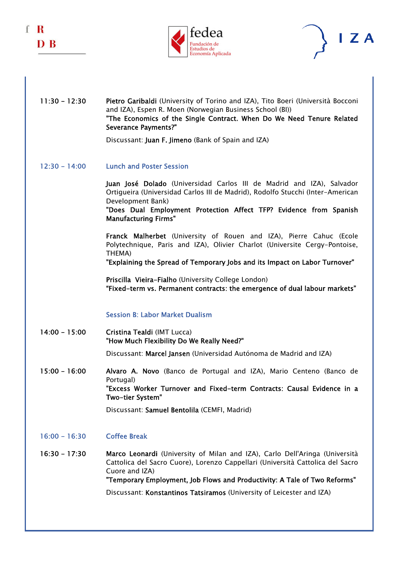





#### 11:30 - 12:30 Pietro Garibaldi (University of Torino and IZA), Tito Boeri (Università Bocconi and IZA), Espen R. Moen (Norwegian Business School (BI)) "The Economics of the Single Contract. When Do We Need Tenure Related Severance Payments?"

Discussant: Juan F. Jimeno (Bank of Spain and IZA)

12:30 - 14:00 Lunch and Poster Session

 Juan José Dolado (Universidad Carlos III de Madrid and IZA), Salvador Ortigueira (Universidad Carlos III de Madrid), Rodolfo Stucchi (Inter-American Development Bank)

 "Does Dual Employment Protection Affect TFP? Evidence from Spanish Manufacturing Firms"

Franck Malherbet (University of Rouen and IZA), Pierre Cahuc (Ecole Polytechnique, Paris and IZA), Olivier Charlot (Universite Cergy-Pontoise, THEMA)

"Explaining the Spread of Temporary Jobs and its Impact on Labor Turnover"

Priscilla Vieira-Fialho (University College London) "Fixed-term vs. Permanent contracts: the emergence of dual labour markets"

#### Session B: Labor Market Dualism

14:00 - 15:00 Cristina Tealdi (IMT Lucca) "How Much Flexibility Do We Really Need?"

Discussant: Marcel Jansen (Universidad Autónoma de Madrid and IZA)

15:00 - 16:00 Alvaro A. Novo (Banco de Portugal and IZA), Mario Centeno (Banco de Portugal) "Excess Worker Turnover and Fixed-term Contracts: Causal Evidence in a Two-tier System"

Discussant: Samuel Bentolila (CEMFI, Madrid)

- 16:00 16:30 Coffee Break
- 16:30 17:30 Marco Leonardi (University of Milan and IZA), Carlo Dell'Aringa (Università Cattolica del Sacro Cuore), Lorenzo Cappellari (Università Cattolica del Sacro Cuore and IZA) "Temporary Employment, Job Flows and Productivity: A Tale of Two Reforms" Discussant: Konstantinos Tatsiramos (University of Leicester and IZA)